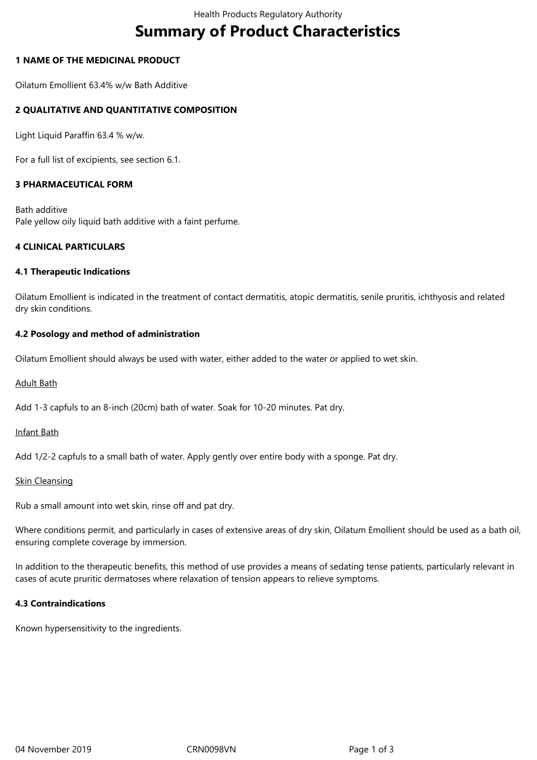# **Summary of Product Characteristics**

## **1 NAME OF THE MEDICINAL PRODUCT**

Oilatum Emollient 63.4% w/w Bath Additive

## **2 QUALITATIVE AND QUANTITATIVE COMPOSITION**

Light Liquid Paraffin 63.4 % w/w.

For a full list of excipients, see section 6.1.

## **3 PHARMACEUTICAL FORM**

Bath additive Pale yellow oily liquid bath additive with a faint perfume.

## **4 CLINICAL PARTICULARS**

#### **4.1 Therapeutic Indications**

Oilatum Emollient is indicated in the treatment of contact dermatitis, atopic dermatitis, senile pruritis, ichthyosis and related dry skin conditions.

#### **4.2 Posology and method of administration**

Oilatum Emollient should always be used with water, either added to the water or applied to wet skin.

#### Adult Bath

Add 1-3 capfuls to an 8-inch (20cm) bath of water. Soak for 10-20 minutes. Pat dry.

## Infant Bath

Add 1/2-2 capfuls to a small bath of water. Apply gently over entire body with a sponge. Pat dry.

#### Skin Cleansing

Rub a small amount into wet skin, rinse off and pat dry.

Where conditions permit, and particularly in cases of extensive areas of dry skin, Oilatum Emollient should be used as a bath oil, ensuring complete coverage by immersion.

In addition to the therapeutic benefits, this method of use provides a means of sedating tense patients, particularly relevant in cases of acute pruritic dermatoses where relaxation of tension appears to relieve symptoms.

#### **4.3 Contraindications**

Known hypersensitivity to the ingredients.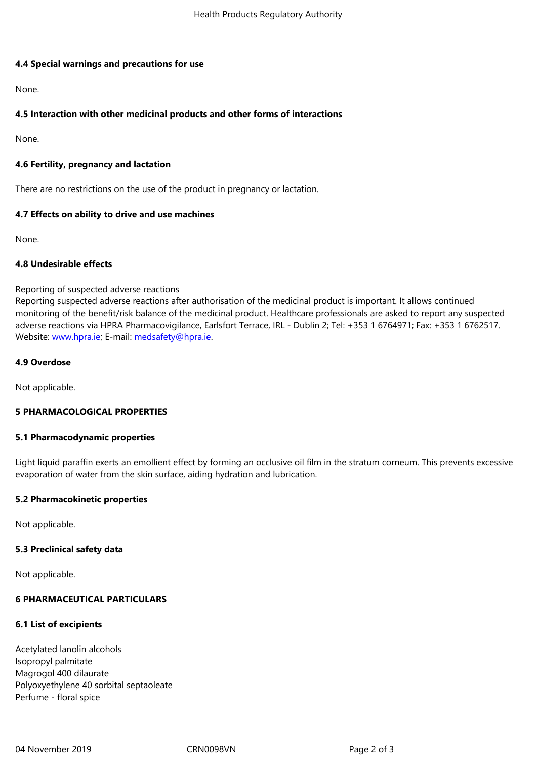#### **4.4 Special warnings and precautions for use**

None.

## **4.5 Interaction with other medicinal products and other forms of interactions**

None.

## **4.6 Fertility, pregnancy and lactation**

There are no restrictions on the use of the product in pregnancy or lactation.

## **4.7 Effects on ability to drive and use machines**

None.

## **4.8 Undesirable effects**

## Reporting of suspected adverse reactions

Reporting suspected adverse reactions after authorisation of the medicinal product is important. It allows continued monitoring of the benefit/risk balance of the medicinal product. Healthcare professionals are asked to report any suspected adverse reactions via HPRA Pharmacovigilance, Earlsfort Terrace, IRL - Dublin 2; Tel: +353 1 6764971; Fax: +353 1 6762517. Website: www.hpra.ie; E-mail: medsafety@hpra.ie.

## **4.9 Overdose**

Not appl[icable.](http://www.hpra.ie/)

## **5 PHARMACOLOGICAL PROPERTIES**

#### **5.1 Pharmacodynamic properties**

Light liquid paraffin exerts an emollient effect by forming an occlusive oil film in the stratum corneum. This prevents excessive evaporation of water from the skin surface, aiding hydration and lubrication.

#### **5.2 Pharmacokinetic properties**

Not applicable.

#### **5.3 Preclinical safety data**

Not applicable.

# **6 PHARMACEUTICAL PARTICULARS**

# **6.1 List of excipients**

Acetylated lanolin alcohols Isopropyl palmitate Magrogol 400 dilaurate Polyoxyethylene 40 sorbital septaoleate Perfume - floral spice